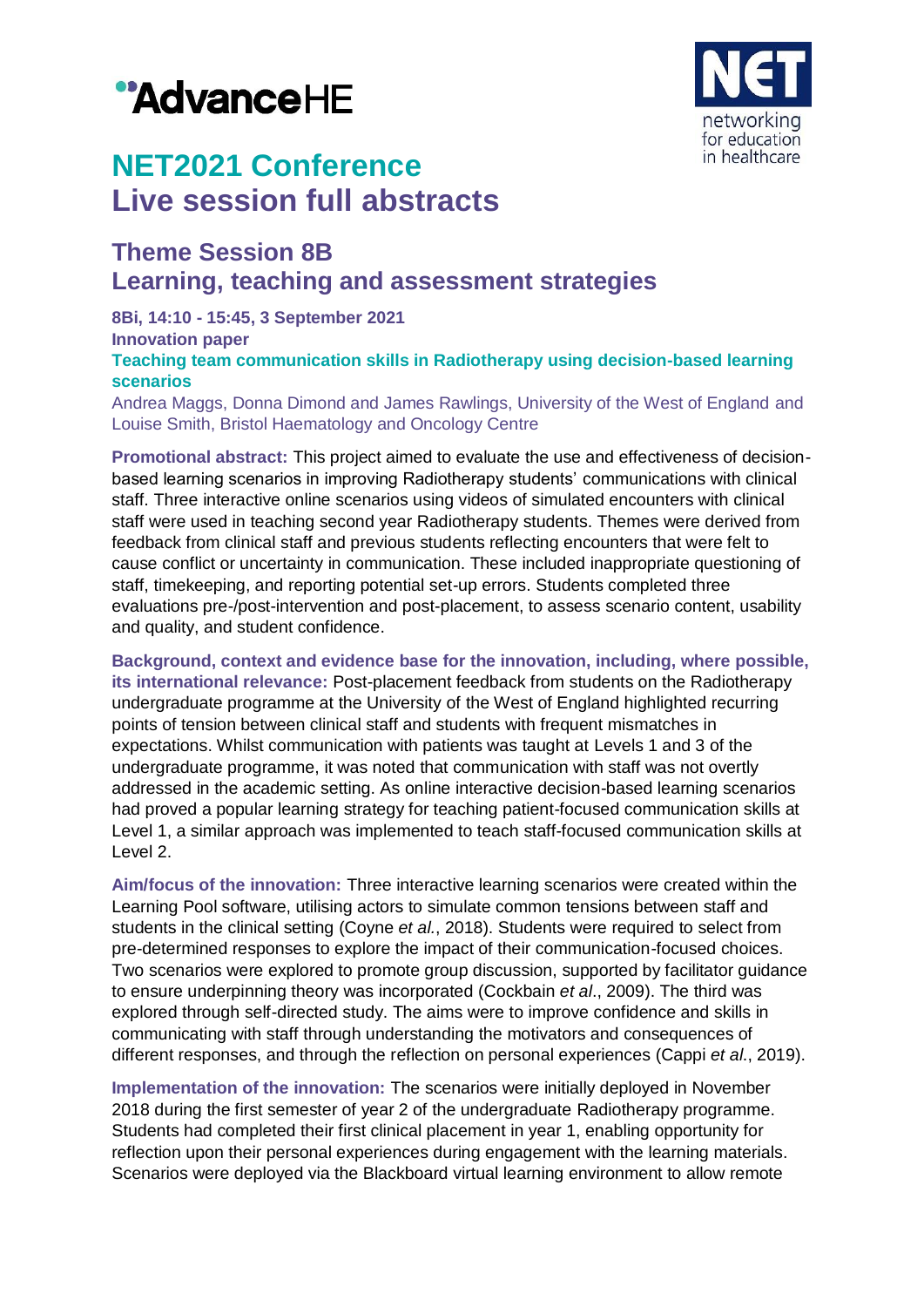# "AdvanceHE



## **NET2021 Conference Live session full abstracts**

### **Theme Session 8B Learning, teaching and assessment strategies**

**8Bi, 14:10 - 15:45, 3 September 2021**

**Innovation paper**

**Teaching team communication skills in Radiotherapy using decision-based learning scenarios**

Andrea Maggs, Donna Dimond and James Rawlings, University of the West of England and Louise Smith, Bristol Haematology and Oncology Centre

**Promotional abstract:** This project aimed to evaluate the use and effectiveness of decisionbased learning scenarios in improving Radiotherapy students' communications with clinical staff. Three interactive online scenarios using videos of simulated encounters with clinical staff were used in teaching second year Radiotherapy students. Themes were derived from feedback from clinical staff and previous students reflecting encounters that were felt to cause conflict or uncertainty in communication. These included inappropriate questioning of staff, timekeeping, and reporting potential set-up errors. Students completed three evaluations pre-/post-intervention and post-placement, to assess scenario content, usability and quality, and student confidence.

**Background, context and evidence base for the innovation, including, where possible, its international relevance:** Post-placement feedback from students on the Radiotherapy undergraduate programme at the University of the West of England highlighted recurring points of tension between clinical staff and students with frequent mismatches in expectations. Whilst communication with patients was taught at Levels 1 and 3 of the undergraduate programme, it was noted that communication with staff was not overtly addressed in the academic setting. As online interactive decision-based learning scenarios had proved a popular learning strategy for teaching patient-focused communication skills at Level 1, a similar approach was implemented to teach staff-focused communication skills at Level 2.

**Aim/focus of the innovation:** Three interactive learning scenarios were created within the Learning Pool software, utilising actors to simulate common tensions between staff and students in the clinical setting (Coyne *et al.*, 2018). Students were required to select from pre-determined responses to explore the impact of their communication-focused choices. Two scenarios were explored to promote group discussion, supported by facilitator guidance to ensure underpinning theory was incorporated (Cockbain *et al*., 2009). The third was explored through self-directed study. The aims were to improve confidence and skills in communicating with staff through understanding the motivators and consequences of different responses, and through the reflection on personal experiences (Cappi *et al*., 2019).

**Implementation of the innovation:** The scenarios were initially deployed in November 2018 during the first semester of year 2 of the undergraduate Radiotherapy programme. Students had completed their first clinical placement in year 1, enabling opportunity for reflection upon their personal experiences during engagement with the learning materials. Scenarios were deployed via the Blackboard virtual learning environment to allow remote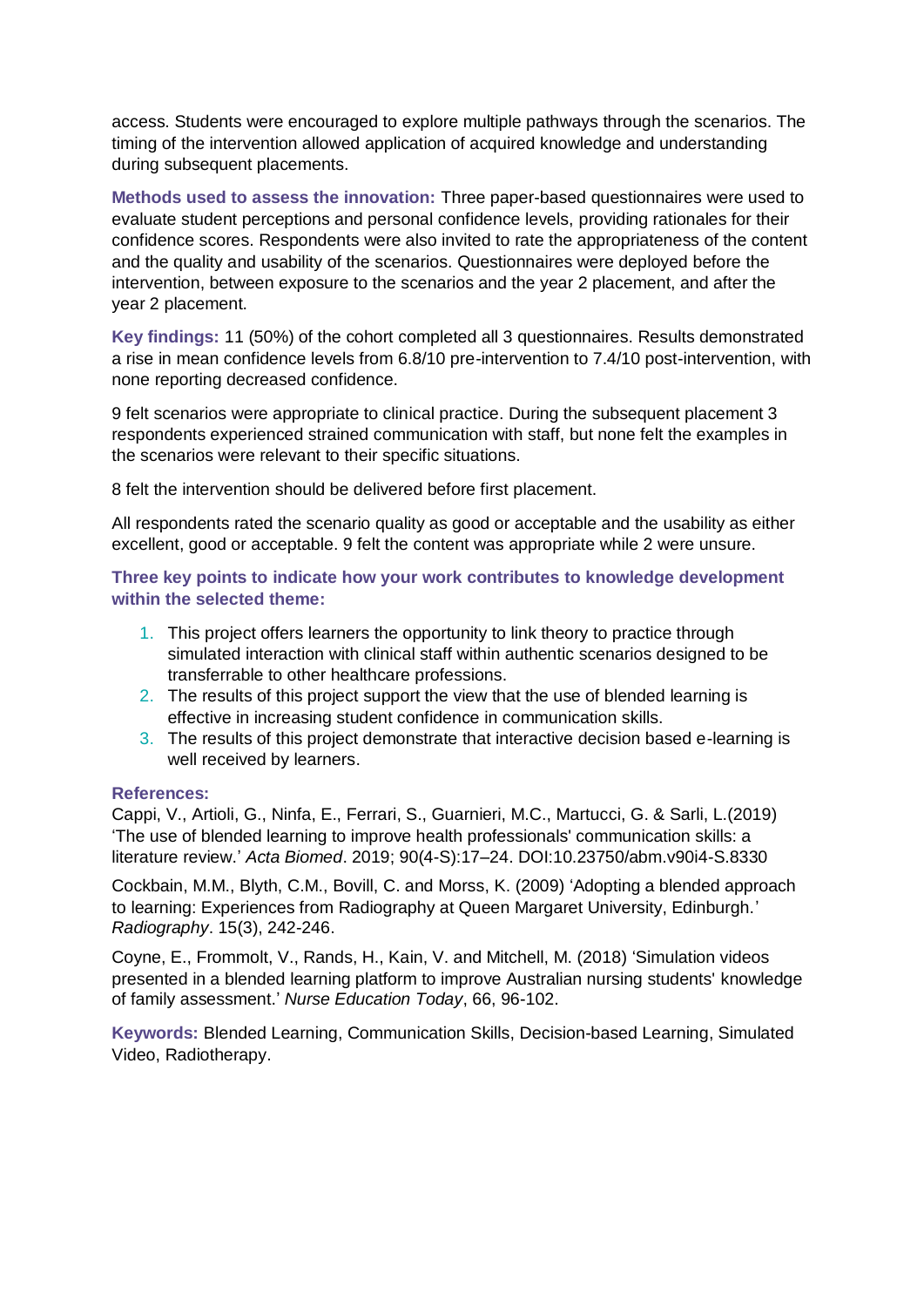access. Students were encouraged to explore multiple pathways through the scenarios. The timing of the intervention allowed application of acquired knowledge and understanding during subsequent placements.

**Methods used to assess the innovation:** Three paper-based questionnaires were used to evaluate student perceptions and personal confidence levels, providing rationales for their confidence scores. Respondents were also invited to rate the appropriateness of the content and the quality and usability of the scenarios. Questionnaires were deployed before the intervention, between exposure to the scenarios and the year 2 placement, and after the year 2 placement.

**Key findings:** 11 (50%) of the cohort completed all 3 questionnaires. Results demonstrated a rise in mean confidence levels from 6.8/10 pre-intervention to 7.4/10 post-intervention, with none reporting decreased confidence.

9 felt scenarios were appropriate to clinical practice. During the subsequent placement 3 respondents experienced strained communication with staff, but none felt the examples in the scenarios were relevant to their specific situations.

8 felt the intervention should be delivered before first placement.

All respondents rated the scenario quality as good or acceptable and the usability as either excellent, good or acceptable. 9 felt the content was appropriate while 2 were unsure.

**Three key points to indicate how your work contributes to knowledge development within the selected theme:**

- 1. This project offers learners the opportunity to link theory to practice through simulated interaction with clinical staff within authentic scenarios designed to be transferrable to other healthcare professions.
- 2. The results of this project support the view that the use of blended learning is effective in increasing student confidence in communication skills.
- 3. The results of this project demonstrate that interactive decision based e-learning is well received by learners.

#### **References:**

Cappi, V., Artioli, G., Ninfa, E., Ferrari, S., Guarnieri, M.C., Martucci, G. & Sarli, L.(2019) 'The use of blended learning to improve health professionals' communication skills: a literature review.' *Acta Biomed*. 2019; 90(4-S):17–24. DOI:10.23750/abm.v90i4-S.8330

Cockbain, M.M., Blyth, C.M., Bovill, C. and Morss, K. (2009) 'Adopting a blended approach to learning: Experiences from Radiography at Queen Margaret University, Edinburgh.' *Radiography*. 15(3), 242-246.

Coyne, E., Frommolt, V., Rands, H., Kain, V. and Mitchell, M. (2018) 'Simulation videos presented in a blended learning platform to improve Australian nursing students' knowledge of family assessment.' *Nurse Education Today*, 66, 96-102.

**Keywords:** Blended Learning, Communication Skills, Decision-based Learning, Simulated Video, Radiotherapy.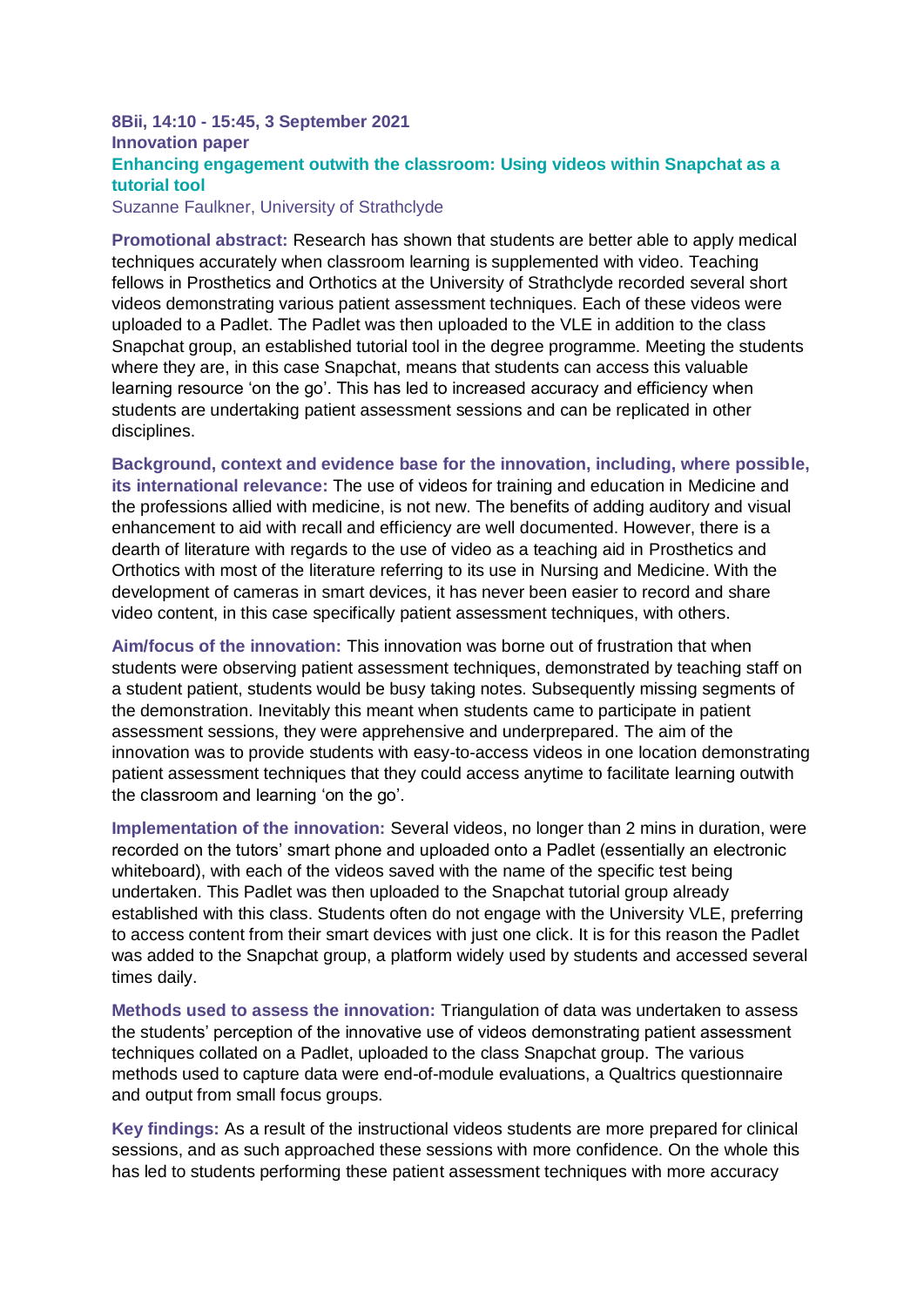#### **8Bii, 14:10 - 15:45, 3 September 2021 Innovation paper Enhancing engagement outwith the classroom: Using videos within Snapchat as a tutorial tool**

Suzanne Faulkner, University of Strathclyde

**Promotional abstract:** Research has shown that students are better able to apply medical techniques accurately when classroom learning is supplemented with video. Teaching fellows in Prosthetics and Orthotics at the University of Strathclyde recorded several short videos demonstrating various patient assessment techniques. Each of these videos were uploaded to a Padlet. The Padlet was then uploaded to the VLE in addition to the class Snapchat group, an established tutorial tool in the degree programme. Meeting the students where they are, in this case Snapchat, means that students can access this valuable learning resource 'on the go'. This has led to increased accuracy and efficiency when students are undertaking patient assessment sessions and can be replicated in other disciplines.

**Background, context and evidence base for the innovation, including, where possible, its international relevance:** The use of videos for training and education in Medicine and the professions allied with medicine, is not new. The benefits of adding auditory and visual enhancement to aid with recall and efficiency are well documented. However, there is a dearth of literature with regards to the use of video as a teaching aid in Prosthetics and Orthotics with most of the literature referring to its use in Nursing and Medicine. With the development of cameras in smart devices, it has never been easier to record and share video content, in this case specifically patient assessment techniques, with others.

**Aim/focus of the innovation:** This innovation was borne out of frustration that when students were observing patient assessment techniques, demonstrated by teaching staff on a student patient, students would be busy taking notes. Subsequently missing segments of the demonstration. Inevitably this meant when students came to participate in patient assessment sessions, they were apprehensive and underprepared. The aim of the innovation was to provide students with easy-to-access videos in one location demonstrating patient assessment techniques that they could access anytime to facilitate learning outwith the classroom and learning 'on the go'.

**Implementation of the innovation:** Several videos, no longer than 2 mins in duration, were recorded on the tutors' smart phone and uploaded onto a Padlet (essentially an electronic whiteboard), with each of the videos saved with the name of the specific test being undertaken. This Padlet was then uploaded to the Snapchat tutorial group already established with this class. Students often do not engage with the University VLE, preferring to access content from their smart devices with just one click. It is for this reason the Padlet was added to the Snapchat group, a platform widely used by students and accessed several times daily.

**Methods used to assess the innovation:** Triangulation of data was undertaken to assess the students' perception of the innovative use of videos demonstrating patient assessment techniques collated on a Padlet, uploaded to the class Snapchat group. The various methods used to capture data were end-of-module evaluations, a Qualtrics questionnaire and output from small focus groups.

**Key findings:** As a result of the instructional videos students are more prepared for clinical sessions, and as such approached these sessions with more confidence. On the whole this has led to students performing these patient assessment techniques with more accuracy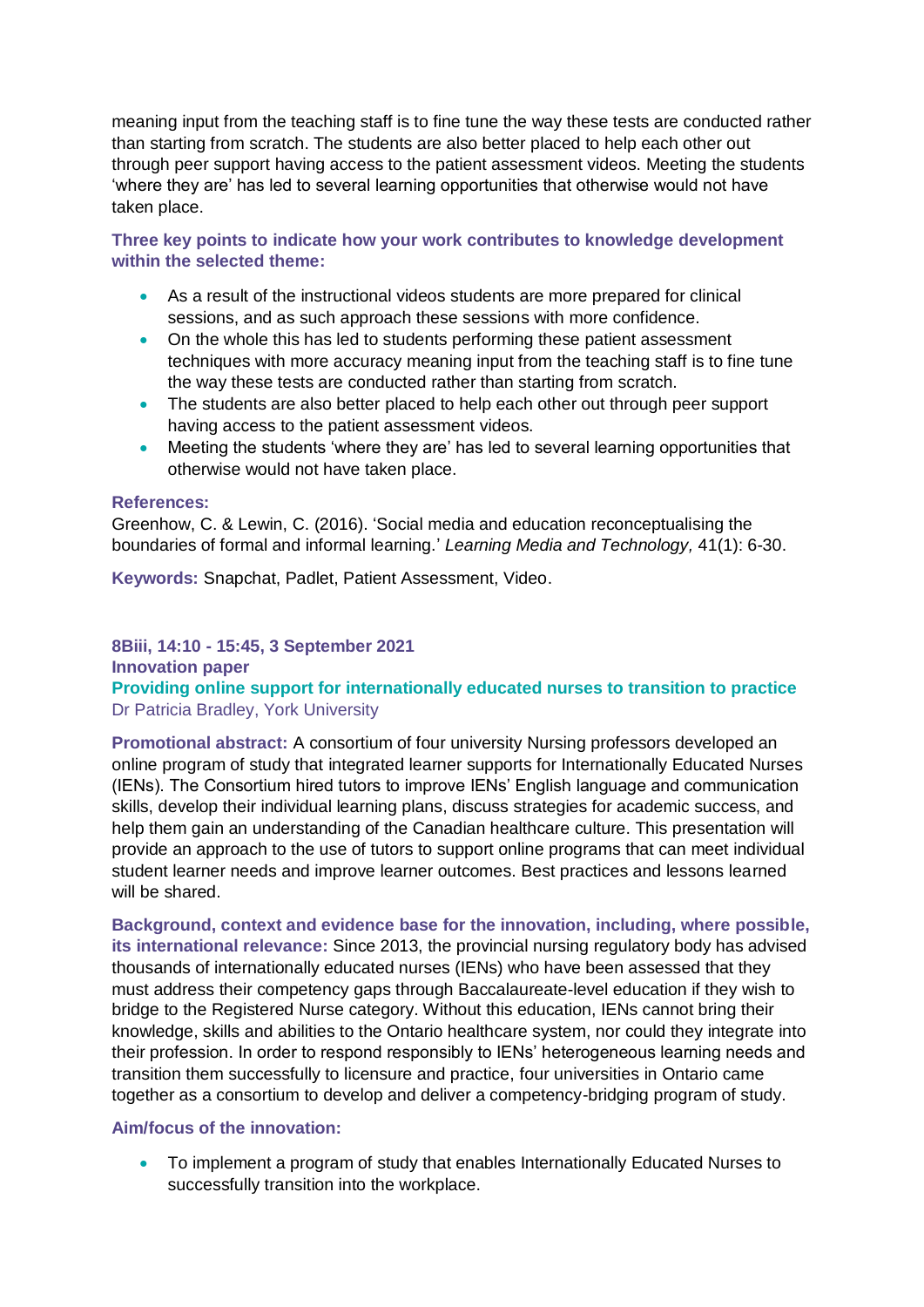meaning input from the teaching staff is to fine tune the way these tests are conducted rather than starting from scratch. The students are also better placed to help each other out through peer support having access to the patient assessment videos. Meeting the students 'where they are' has led to several learning opportunities that otherwise would not have taken place.

**Three key points to indicate how your work contributes to knowledge development within the selected theme:**

- As a result of the instructional videos students are more prepared for clinical sessions, and as such approach these sessions with more confidence.
- On the whole this has led to students performing these patient assessment techniques with more accuracy meaning input from the teaching staff is to fine tune the way these tests are conducted rather than starting from scratch.
- The students are also better placed to help each other out through peer support having access to the patient assessment videos.
- Meeting the students 'where they are' has led to several learning opportunities that otherwise would not have taken place.

#### **References:**

Greenhow, C. & Lewin, C. (2016). 'Social media and education reconceptualising the boundaries of formal and informal learning.' *Learning Media and Technology,* 41(1): 6-30.

**Keywords:** Snapchat, Padlet, Patient Assessment, Video.

#### **8Biii, 14:10 - 15:45, 3 September 2021**

#### **Innovation paper**

**Providing online support for internationally educated nurses to transition to practice** Dr Patricia Bradley, York University

**Promotional abstract:** A consortium of four university Nursing professors developed an online program of study that integrated learner supports for Internationally Educated Nurses (IENs). The Consortium hired tutors to improve IENs' English language and communication skills, develop their individual learning plans, discuss strategies for academic success, and help them gain an understanding of the Canadian healthcare culture. This presentation will provide an approach to the use of tutors to support online programs that can meet individual student learner needs and improve learner outcomes. Best practices and lessons learned will be shared.

**Background, context and evidence base for the innovation, including, where possible, its international relevance:** Since 2013, the provincial nursing regulatory body has advised thousands of internationally educated nurses (IENs) who have been assessed that they must address their competency gaps through Baccalaureate-level education if they wish to bridge to the Registered Nurse category. Without this education, IENs cannot bring their knowledge, skills and abilities to the Ontario healthcare system, nor could they integrate into their profession. In order to respond responsibly to IENs' heterogeneous learning needs and transition them successfully to licensure and practice, four universities in Ontario came together as a consortium to develop and deliver a competency-bridging program of study.

#### **Aim/focus of the innovation:**

 To implement a program of study that enables Internationally Educated Nurses to successfully transition into the workplace.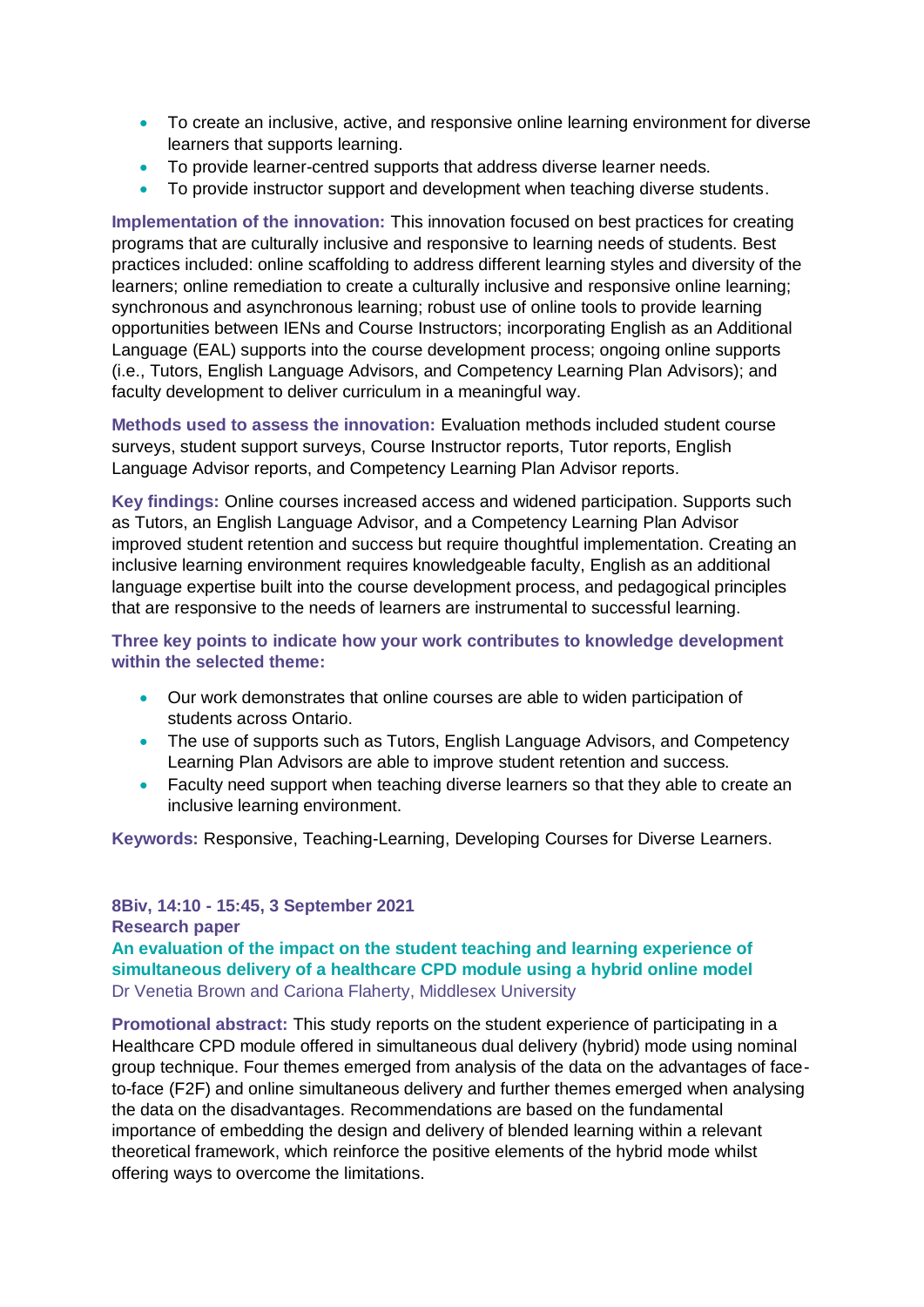- To create an inclusive, active, and responsive online learning environment for diverse learners that supports learning.
- To provide learner-centred supports that address diverse learner needs.
- To provide instructor support and development when teaching diverse students.

**Implementation of the innovation:** This innovation focused on best practices for creating programs that are culturally inclusive and responsive to learning needs of students. Best practices included: online scaffolding to address different learning styles and diversity of the learners; online remediation to create a culturally inclusive and responsive online learning; synchronous and asynchronous learning; robust use of online tools to provide learning opportunities between IENs and Course Instructors; incorporating English as an Additional Language (EAL) supports into the course development process; ongoing online supports (i.e., Tutors, English Language Advisors, and Competency Learning Plan Advisors); and faculty development to deliver curriculum in a meaningful way.

**Methods used to assess the innovation:** Evaluation methods included student course surveys, student support surveys, Course Instructor reports, Tutor reports, English Language Advisor reports, and Competency Learning Plan Advisor reports.

**Key findings:** Online courses increased access and widened participation. Supports such as Tutors, an English Language Advisor, and a Competency Learning Plan Advisor improved student retention and success but require thoughtful implementation. Creating an inclusive learning environment requires knowledgeable faculty, English as an additional language expertise built into the course development process, and pedagogical principles that are responsive to the needs of learners are instrumental to successful learning.

**Three key points to indicate how your work contributes to knowledge development within the selected theme:**

- Our work demonstrates that online courses are able to widen participation of students across Ontario.
- The use of supports such as Tutors, English Language Advisors, and Competency Learning Plan Advisors are able to improve student retention and success.
- Faculty need support when teaching diverse learners so that they able to create an inclusive learning environment.

**Keywords:** Responsive, Teaching-Learning, Developing Courses for Diverse Learners.

#### **8Biv, 14:10 - 15:45, 3 September 2021 Research paper An evaluation of the impact on the student teaching and learning experience of simultaneous delivery of a healthcare CPD module using a hybrid online model** Dr Venetia Brown and Cariona Flaherty, Middlesex University

**Promotional abstract:** This study reports on the student experience of participating in a Healthcare CPD module offered in simultaneous dual delivery (hybrid) mode using nominal group technique. Four themes emerged from analysis of the data on the advantages of faceto-face (F2F) and online simultaneous delivery and further themes emerged when analysing the data on the disadvantages. Recommendations are based on the fundamental importance of embedding the design and delivery of blended learning within a relevant theoretical framework, which reinforce the positive elements of the hybrid mode whilst offering ways to overcome the limitations.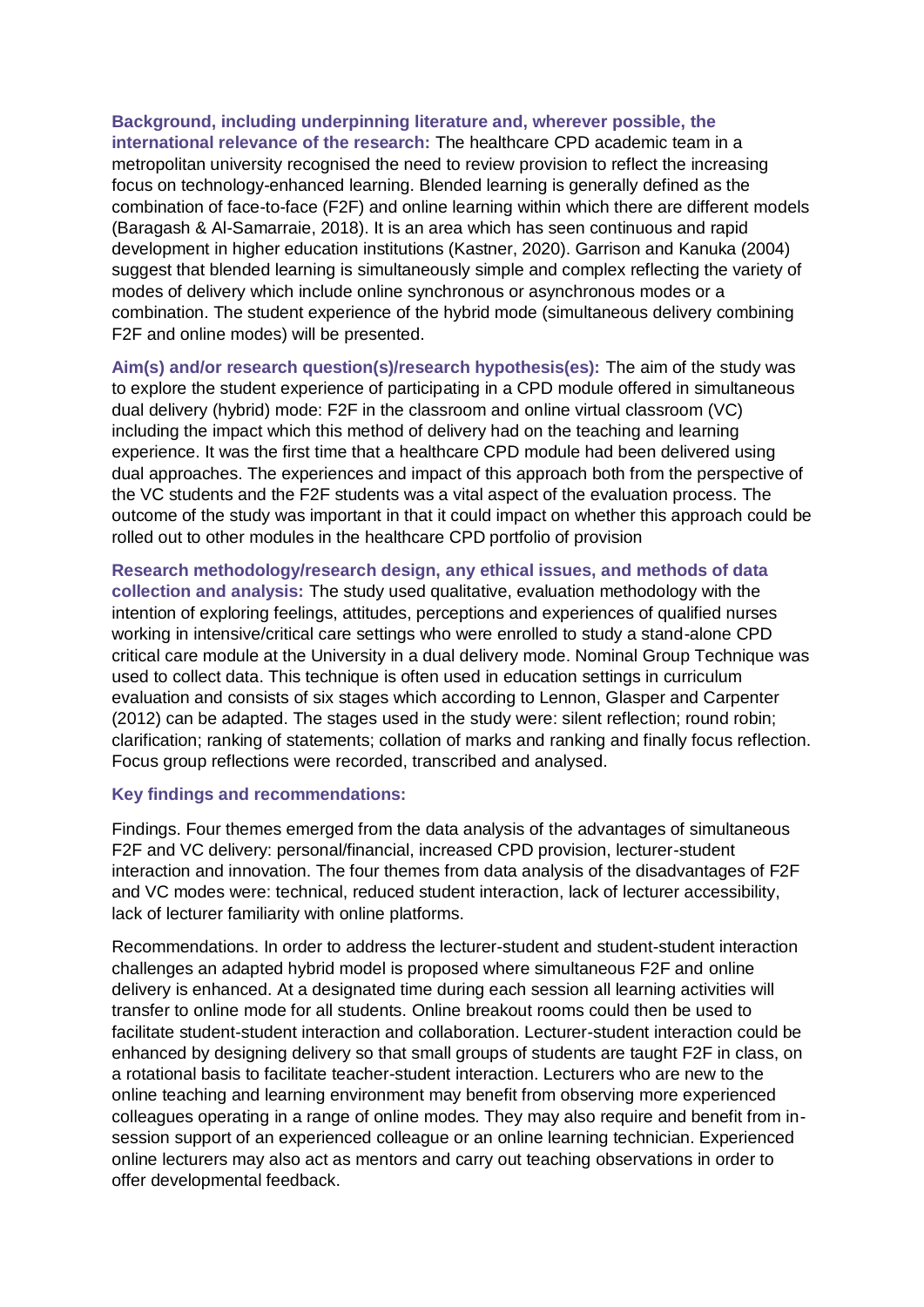**Background, including underpinning literature and, wherever possible, the international relevance of the research:** The healthcare CPD academic team in a metropolitan university recognised the need to review provision to reflect the increasing focus on technology-enhanced learning. Blended learning is generally defined as the combination of face-to-face (F2F) and online learning within which there are different models (Baragash & Al-Samarraie, 2018). It is an area which has seen continuous and rapid development in higher education institutions (Kastner, 2020). Garrison and Kanuka (2004) suggest that blended learning is simultaneously simple and complex reflecting the variety of modes of delivery which include online synchronous or asynchronous modes or a combination. The student experience of the hybrid mode (simultaneous delivery combining F2F and online modes) will be presented.

**Aim(s) and/or research question(s)/research hypothesis(es):** The aim of the study was to explore the student experience of participating in a CPD module offered in simultaneous dual delivery (hybrid) mode: F2F in the classroom and online virtual classroom (VC) including the impact which this method of delivery had on the teaching and learning experience. It was the first time that a healthcare CPD module had been delivered using dual approaches. The experiences and impact of this approach both from the perspective of the VC students and the F2F students was a vital aspect of the evaluation process. The outcome of the study was important in that it could impact on whether this approach could be rolled out to other modules in the healthcare CPD portfolio of provision

**Research methodology/research design, any ethical issues, and methods of data collection and analysis:** The study used qualitative, evaluation methodology with the intention of exploring feelings, attitudes, perceptions and experiences of qualified nurses working in intensive/critical care settings who were enrolled to study a stand-alone CPD critical care module at the University in a dual delivery mode. Nominal Group Technique was used to collect data. This technique is often used in education settings in curriculum evaluation and consists of six stages which according to Lennon, Glasper and Carpenter (2012) can be adapted. The stages used in the study were: silent reflection; round robin; clarification; ranking of statements; collation of marks and ranking and finally focus reflection. Focus group reflections were recorded, transcribed and analysed.

#### **Key findings and recommendations:**

Findings. Four themes emerged from the data analysis of the advantages of simultaneous F2F and VC delivery: personal/financial, increased CPD provision, lecturer-student interaction and innovation. The four themes from data analysis of the disadvantages of F2F and VC modes were: technical, reduced student interaction, lack of lecturer accessibility, lack of lecturer familiarity with online platforms.

Recommendations. In order to address the lecturer-student and student-student interaction challenges an adapted hybrid model is proposed where simultaneous F2F and online delivery is enhanced. At a designated time during each session all learning activities will transfer to online mode for all students. Online breakout rooms could then be used to facilitate student-student interaction and collaboration. Lecturer-student interaction could be enhanced by designing delivery so that small groups of students are taught F2F in class, on a rotational basis to facilitate teacher-student interaction. Lecturers who are new to the online teaching and learning environment may benefit from observing more experienced colleagues operating in a range of online modes. They may also require and benefit from insession support of an experienced colleague or an online learning technician. Experienced online lecturers may also act as mentors and carry out teaching observations in order to offer developmental feedback.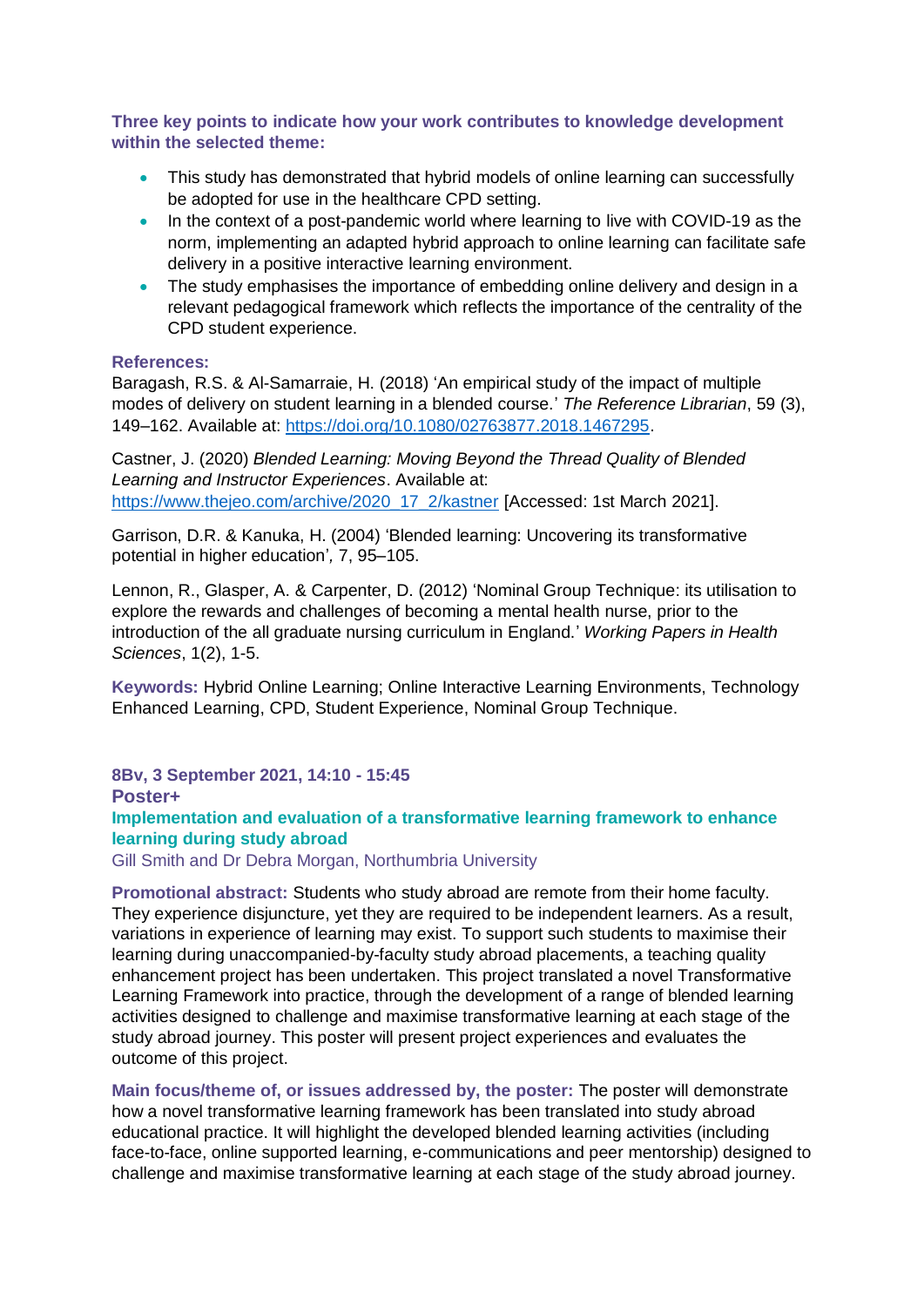**Three key points to indicate how your work contributes to knowledge development within the selected theme:**

- This study has demonstrated that hybrid models of online learning can successfully be adopted for use in the healthcare CPD setting.
- In the context of a post-pandemic world where learning to live with COVID-19 as the norm, implementing an adapted hybrid approach to online learning can facilitate safe delivery in a positive interactive learning environment.
- The study emphasises the importance of embedding online delivery and design in a relevant pedagogical framework which reflects the importance of the centrality of the CPD student experience.

#### **References:**

Baragash, R.S. & Al-Samarraie, H. (2018) 'An empirical study of the impact of multiple modes of delivery on student learning in a blended course.' *The Reference Librarian*, 59 (3), 149–162. Available at: [https://doi.org/10.1080/02763877.2018.1467295.](https://doi.org/10.1080/02763877.2018.1467295)

Castner, J. (2020) *Blended Learning: Moving Beyond the Thread Quality of Blended Learning and Instructor Experiences*. Available at: [https://www.thejeo.com/archive/2020\\_17\\_2/kastner](https://www.thejeo.com/archive/2020_17_2/kastner) [Accessed: 1st March 2021].

Garrison, D.R. & Kanuka, H. (2004) 'Blended learning: Uncovering its transformative potential in higher education'*,* 7, 95–105.

Lennon, R., Glasper, A. & Carpenter, D. (2012) 'Nominal Group Technique: its utilisation to explore the rewards and challenges of becoming a mental health nurse, prior to the introduction of the all graduate nursing curriculum in England.' *Working Papers in Health Sciences*, 1(2), 1-5.

**Keywords:** Hybrid Online Learning; Online Interactive Learning Environments, Technology Enhanced Learning, CPD, Student Experience, Nominal Group Technique.

**8Bv, 3 September 2021, 14:10 - 15:45 Poster+ Implementation and evaluation of a transformative learning framework to enhance learning during study abroad**

Gill Smith and Dr Debra Morgan, Northumbria University

**Promotional abstract:** Students who study abroad are remote from their home faculty. They experience disjuncture, yet they are required to be independent learners. As a result, variations in experience of learning may exist. To support such students to maximise their learning during unaccompanied-by-faculty study abroad placements, a teaching quality enhancement project has been undertaken. This project translated a novel Transformative Learning Framework into practice, through the development of a range of blended learning activities designed to challenge and maximise transformative learning at each stage of the study abroad journey. This poster will present project experiences and evaluates the outcome of this project.

**Main focus/theme of, or issues addressed by, the poster:** The poster will demonstrate how a novel transformative learning framework has been translated into study abroad educational practice. It will highlight the developed blended learning activities (including face-to-face, online supported learning, e-communications and peer mentorship) designed to challenge and maximise transformative learning at each stage of the study abroad journey.